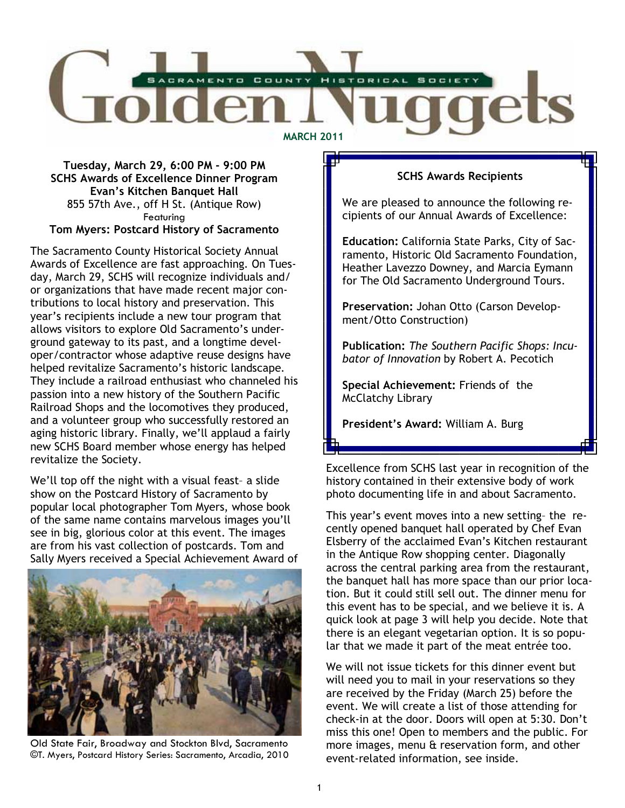

### Tuesday, March 29, 6:00 PM - 9:00 PM SCHS Awards of Excellence Dinner Program Evan's Kitchen Banquet Hall 855 57th Ave., off H St. (Antique Row) **Featuring** Tom Myers: Postcard History of Sacramento

The Sacramento County Historical Society Annual Awards of Excellence are fast approaching. On Tuesday, March 29, SCHS will recognize individuals and/ or organizations that have made recent major contributions to local history and preservation. This year's recipients include a new tour program that allows visitors to explore Old Sacramento's underground gateway to its past, and a longtime developer/contractor whose adaptive reuse designs have helped revitalize Sacramento's historic landscape. They include a railroad enthusiast who channeled his passion into a new history of the Southern Pacific Railroad Shops and the locomotives they produced, and a volunteer group who successfully restored an aging historic library. Finally, we'll applaud a fairly new SCHS Board member whose energy has helped revitalize the Society.

We'll top off the night with a visual feast– a slide show on the Postcard History of Sacramento by popular local photographer Tom Myers, whose book of the same name contains marvelous images you'll see in big, glorious color at this event. The images are from his vast collection of postcards. Tom and Sally Myers received a Special Achievement Award of



Old State Fair, Broadway and Stockton Blvd, Sacramento ©T. Myers, Postcard History Series: Sacramento, Arcadia, 2010

### SCHS Awards Recipients

We are pleased to announce the following recipients of our Annual Awards of Excellence:

Education: California State Parks, City of Sacramento, Historic Old Sacramento Foundation, Heather Lavezzo Downey, and Marcia Eymann for The Old Sacramento Underground Tours.

Preservation: Johan Otto (Carson Development/Otto Construction)

Publication: The Southern Pacific Shops: Incubator of Innovation by Robert A. Pecotich

Special Achievement: Friends of the McClatchy Library

President's Award: William A. Burg

Excellence from SCHS last year in recognition of the history contained in their extensive body of work photo documenting life in and about Sacramento.

This year's event moves into a new setting– the recently opened banquet hall operated by Chef Evan Elsberry of the acclaimed Evan's Kitchen restaurant in the Antique Row shopping center. Diagonally across the central parking area from the restaurant, the banquet hall has more space than our prior location. But it could still sell out. The dinner menu for this event has to be special, and we believe it is. A quick look at page 3 will help you decide. Note that there is an elegant vegetarian option. It is so popular that we made it part of the meat entrée too.

We will not issue tickets for this dinner event but will need you to mail in your reservations so they are received by the Friday (March 25) before the event. We will create a list of those attending for check-in at the door. Doors will open at 5:30. Don't miss this one! Open to members and the public. For more images, menu & reservation form, and other event-related information, see inside.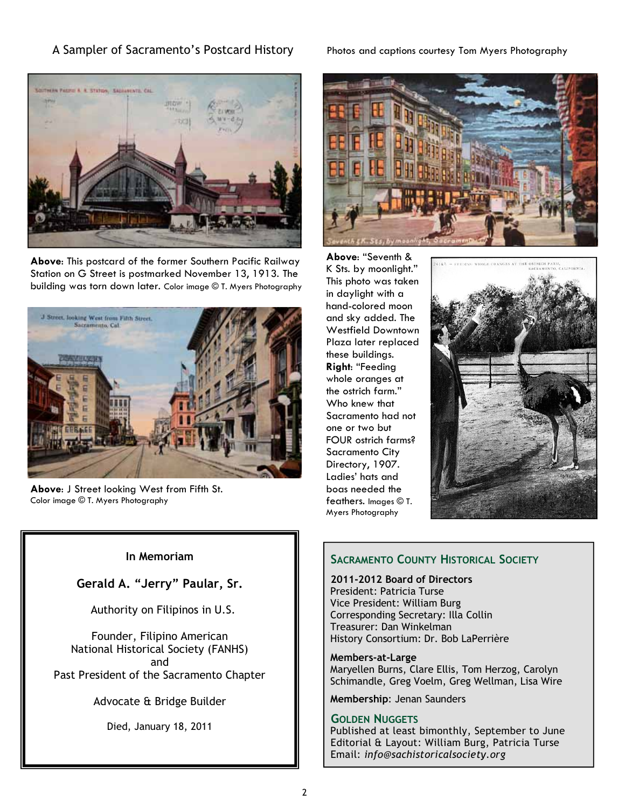### A Sampler of Sacramento's Postcard History Photos and captions courtesy Tom Myers Photography



Above: This postcard of the former Southern Pacific Railway Station on G Street is postmarked November 13, 1913. The building was torn down later. Color image © T. Myers Photography



Above: J Street looking West from Fifth St. Color image © T. Myers Photography



Above: "Seventh & K Sts. by moonlight." This photo was taken in daylight with a hand-colored moon and sky added. The Westfield Downtown Plaza later replaced these buildings. Right: "Feeding whole oranges at the ostrich farm." Who knew that Sacramento had not one or two but FOUR ostrich farms? Sacramento City Directory, 1907. Ladies' hats and boas needed the feathers. Images © T. Myers Photography



### In Memoriam

Gerald A. "Jerry" Paular, Sr.

Authority on Filipinos in U.S.

Founder, Filipino American National Historical Society (FANHS) and Past President of the Sacramento Chapter

Advocate & Bridge Builder

Died, January 18, 2011

### SACRAMENTO COUNTY HISTORICAL SOCIETY

2011-2012 Board of Directors President: Patricia Turse Vice President: William Burg Corresponding Secretary: Illa Collin Treasurer: Dan Winkelman History Consortium: Dr. Bob LaPerrière

Members-at-Large Maryellen Burns, Clare Ellis, Tom Herzog, Carolyn Schimandle, Greg Voelm, Greg Wellman, Lisa Wire

Membership: Jenan Saunders

### GOLDEN NUGGETS

Published at least bimonthly, September to June Editorial & Layout: William Burg, Patricia Turse Email: info@sachistoricalsociety.org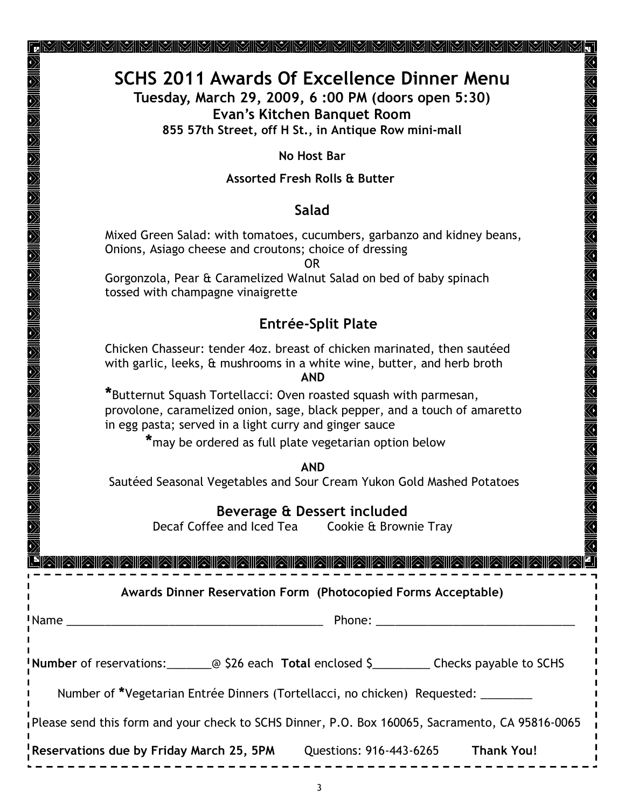# SCHS 2011 Awards Of Excellence Dinner Menu

Tuesday, March 29, 2009, 6 :00 PM (doors open 5:30) Evan's Kitchen Banquet Room

855 57th Street, off H St., in Antique Row mini-mall

No Host Bar

## Assorted Fresh Rolls & Butter

# Salad

 Mixed Green Salad: with tomatoes, cucumbers, garbanzo and kidney beans, Onions, Asiago cheese and croutons; choice of dressing

OR

 Gorgonzola, Pear & Caramelized Walnut Salad on bed of baby spinach tossed with champagne vinaigrette

# Entrée-Split Plate

 Chicken Chasseur: tender 4oz. breast of chicken marinated, then sautéed with garlic, leeks, & mushrooms in a white wine, butter, and herb broth

AND

 \*Butternut Squash Tortellacci: Oven roasted squash with parmesan, provolone, caramelized onion, sage, black pepper, and a touch of amaretto in egg pasta; served in a light curry and ginger sauce

\*may be ordered as full plate vegetarian option below

AND

Sautéed Seasonal Vegetables and Sour Cream Yukon Gold Mashed Potatoes

# Beverage & Dessert included

Decaf Coffee and Iced Tea Cookie & Brownie Tray

A FINING EN A LA BILANA DE LA BILANA DE LA BILANA DE LA BADA DE LA BILANA DE LA BILANA DE LA BILANA DE LA BILA

# Awards Dinner Reservation Form (Photocopied Forms Acceptable)

Name \_\_\_\_\_\_\_\_\_\_\_\_\_\_\_\_\_\_\_\_\_\_\_\_\_\_\_\_\_\_\_\_\_\_\_\_\_\_\_\_ Phone: \_\_\_\_\_\_\_\_\_\_\_\_\_\_\_\_\_\_\_\_\_\_\_\_\_\_\_\_\_\_\_

| Number of reservations: |  | @ \$26 each Total enclosed \$ | Checks payable to SCHS |
|-------------------------|--|-------------------------------|------------------------|
|-------------------------|--|-------------------------------|------------------------|

Number of \*Vegetarian Entrée Dinners (Tortellacci, no chicken) Requested:

Please send this form and your check to SCHS Dinner, P.O. Box 160065, Sacramento, CA 95816-0065

Reservations due by Friday March 25, 5PM Questions: 916-443-6265 Thank You!